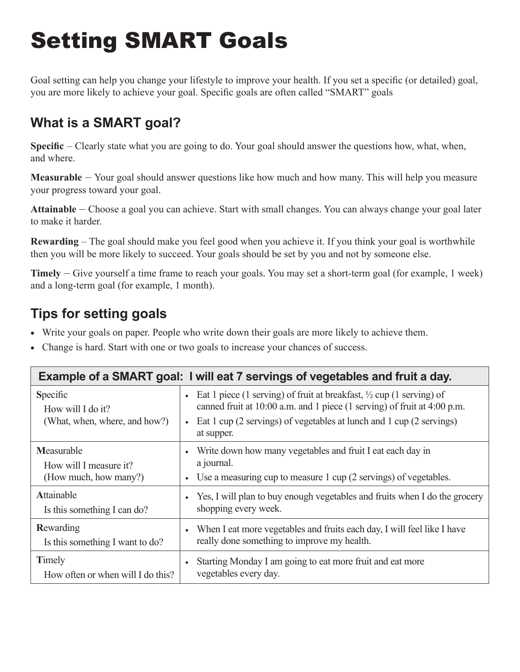## Setting SMART Goals

Goal setting can help you change your lifestyle to improve your health. If you set a specific (or detailed) goal, you are more likely to achieve your goal. Specific goals are often called "SMART" goals

## **What is a SMART goal?**

**Specific** – Clearly state what you are going to do. Your goal should answer the questions how, what, when, and where.

**Measurable** – Your goal should answer questions like how much and how many. This will help you measure your progress toward your goal.

**Attainable** – Choose a goal you can achieve. Start with small changes. You can always change your goal later to make it harder.

**Rewarding** – The goal should make you feel good when you achieve it. If you think your goal is worthwhile then you will be more likely to succeed. Your goals should be set by you and not by someone else.

**Timely** – Give yourself a time frame to reach your goals. You may set a short-term goal (for example, 1 week) and a long-term goal (for example, 1 month).

## **Tips for setting goals**

- Write your goals on paper. People who write down their goals are more likely to achieve them.
- Change is hard. Start with one or two goals to increase your chances of success.

| Example of a SMART goal: I will eat 7 servings of vegetables and fruit a day. |                                                                                                                                                                                                                                                                             |
|-------------------------------------------------------------------------------|-----------------------------------------------------------------------------------------------------------------------------------------------------------------------------------------------------------------------------------------------------------------------------|
| Specific<br>How will I do it?<br>(What, when, where, and how?)                | Eat 1 piece (1 serving) of fruit at breakfast, $\frac{1}{2}$ cup (1 serving) of<br>$\bullet$<br>canned fruit at 10:00 a.m. and 1 piece (1 serving) of fruit at 4:00 p.m.<br>Eat 1 cup (2 servings) of vegetables at lunch and 1 cup (2 servings)<br>$\bullet$<br>at supper. |
| Measurable<br>How will I measure it?<br>(How much, how many?)                 | Write down how many vegetables and fruit I eat each day in<br>$\bullet$<br>a journal.<br>Use a measuring cup to measure 1 cup (2 servings) of vegetables.<br>$\bullet$                                                                                                      |
| Attainable<br>Is this something I can do?                                     | Yes, I will plan to buy enough vegetables and fruits when I do the grocery<br>$\bullet$<br>shopping every week.                                                                                                                                                             |
| Rewarding<br>Is this something I want to do?                                  | When I eat more vegetables and fruits each day, I will feel like I have<br>$\bullet$<br>really done something to improve my health.                                                                                                                                         |
| Timely<br>How often or when will I do this?                                   | Starting Monday I am going to eat more fruit and eat more<br>$\bullet$<br>vegetables every day.                                                                                                                                                                             |